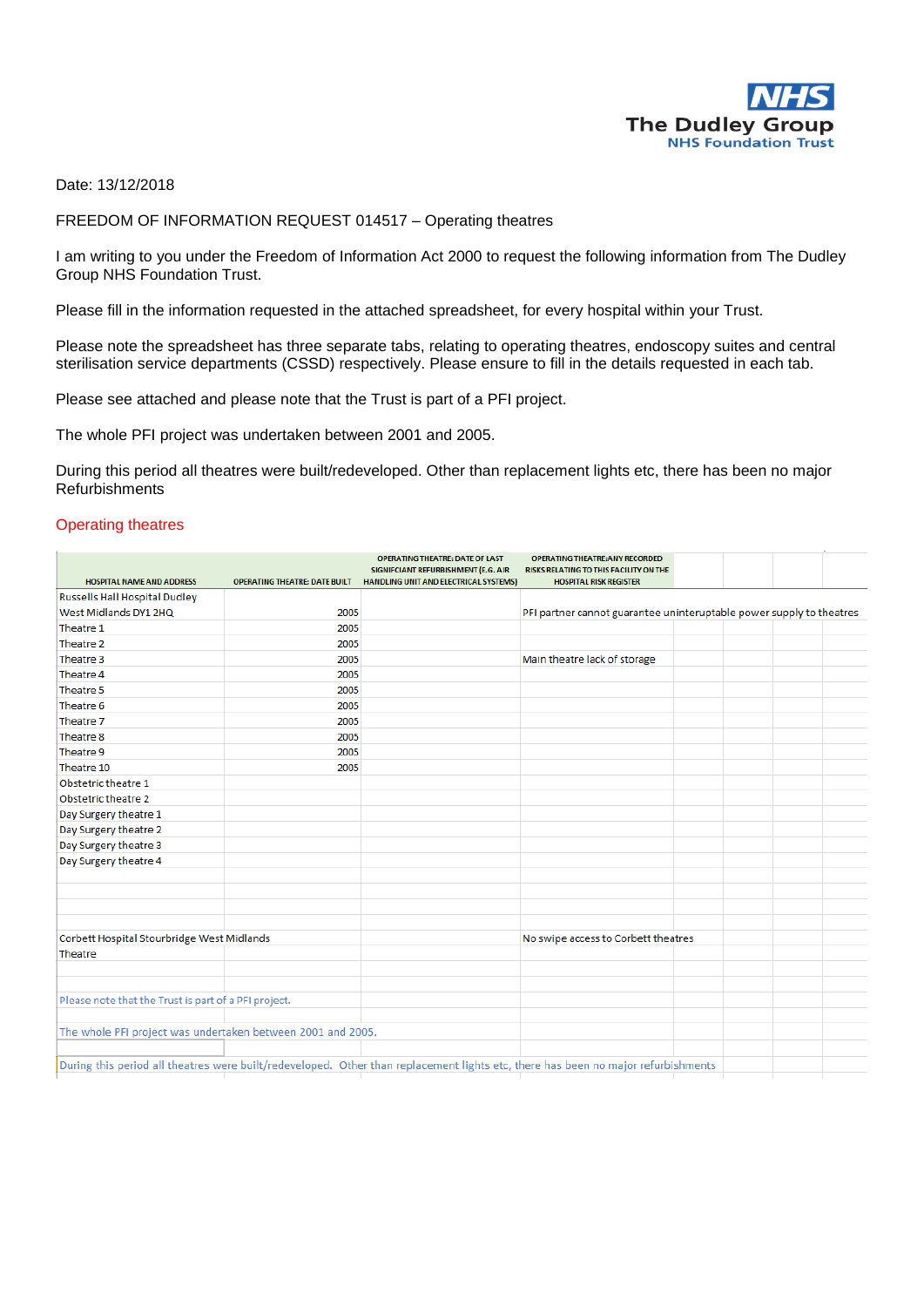

Date: 13/12/2018

FREEDOM OF INFORMATION REQUEST 014517 – Operating theatres

I am writing to you under the Freedom of Information Act 2000 to request the following information from The Dudley Group NHS Foundation Trust.

Please fill in the information requested in the attached spreadsheet, for every hospital within your Trust.

Please note the spreadsheet has three separate tabs, relating to operating theatres, endoscopy suites and central sterilisation service departments (CSSD) respectively. Please ensure to fill in the details requested in each tab.

Please see attached and please note that the Trust is part of a PFI project.

The whole PFI project was undertaken between 2001 and 2005.

During this period all theatres were built/redeveloped. Other than replacement lights etc, there has been no major Refurbishments

## Operating theatres

|                                                                                                                                   |                                      | OPERATING THEATRE: DATE OF LAST                                              | <b>OPERATING THEATRE: ANY RECORDED</b>                                  |  |  |
|-----------------------------------------------------------------------------------------------------------------------------------|--------------------------------------|------------------------------------------------------------------------------|-------------------------------------------------------------------------|--|--|
| HOSPITAL NAME AND ADDRESS                                                                                                         | <b>OPERATING THEATRE: DATE BUILT</b> | SIGNIFCIANT REFURBISHMENT (E.G. AIR<br>HANDLING UNIT AND ELECTRICAL SYSTEMS) | RISKS RELATING TO THIS FACILITY ON THE<br><b>HOSPITAL RISK REGISTER</b> |  |  |
| <b>Russells Hall Hospital Dudley</b>                                                                                              |                                      |                                                                              |                                                                         |  |  |
| West Midlands DY1 2HQ                                                                                                             | 2005                                 |                                                                              | PFI partner cannot guarantee uninteruptable power supply to theatres    |  |  |
| Theatre 1                                                                                                                         | 2005                                 |                                                                              |                                                                         |  |  |
| Theatre 2                                                                                                                         | 2005                                 |                                                                              |                                                                         |  |  |
| Theatre 3                                                                                                                         | 2005                                 |                                                                              | Main theatre lack of storage                                            |  |  |
| Theatre 4                                                                                                                         | 2005                                 |                                                                              |                                                                         |  |  |
| Theatre 5                                                                                                                         | 2005                                 |                                                                              |                                                                         |  |  |
| Theatre 6                                                                                                                         | 2005                                 |                                                                              |                                                                         |  |  |
| Theatre 7                                                                                                                         | 2005                                 |                                                                              |                                                                         |  |  |
| Theatre 8                                                                                                                         | 2005                                 |                                                                              |                                                                         |  |  |
| Theatre 9                                                                                                                         | 2005                                 |                                                                              |                                                                         |  |  |
| Theatre 10                                                                                                                        | 2005                                 |                                                                              |                                                                         |  |  |
| Obstetric theatre 1                                                                                                               |                                      |                                                                              |                                                                         |  |  |
| Obstetric theatre 2                                                                                                               |                                      |                                                                              |                                                                         |  |  |
| Day Surgery theatre 1                                                                                                             |                                      |                                                                              |                                                                         |  |  |
| Day Surgery theatre 2                                                                                                             |                                      |                                                                              |                                                                         |  |  |
| Day Surgery theatre 3                                                                                                             |                                      |                                                                              |                                                                         |  |  |
| Day Surgery theatre 4                                                                                                             |                                      |                                                                              |                                                                         |  |  |
|                                                                                                                                   |                                      |                                                                              |                                                                         |  |  |
|                                                                                                                                   |                                      |                                                                              |                                                                         |  |  |
|                                                                                                                                   |                                      |                                                                              |                                                                         |  |  |
|                                                                                                                                   |                                      |                                                                              |                                                                         |  |  |
| Corbett Hospital Stourbridge West Midlands                                                                                        |                                      | No swipe access to Corbett theatres                                          |                                                                         |  |  |
| Theatre                                                                                                                           |                                      |                                                                              |                                                                         |  |  |
|                                                                                                                                   |                                      |                                                                              |                                                                         |  |  |
|                                                                                                                                   |                                      |                                                                              |                                                                         |  |  |
| Please note that the Trust is part of a PFI project.                                                                              |                                      |                                                                              |                                                                         |  |  |
|                                                                                                                                   |                                      |                                                                              |                                                                         |  |  |
| The whole PFI project was undertaken between 2001 and 2005.                                                                       |                                      |                                                                              |                                                                         |  |  |
|                                                                                                                                   |                                      |                                                                              |                                                                         |  |  |
| During this period all theatres were built/redeveloped. Other than replacement lights etc, there has been no major refurbishments |                                      |                                                                              |                                                                         |  |  |